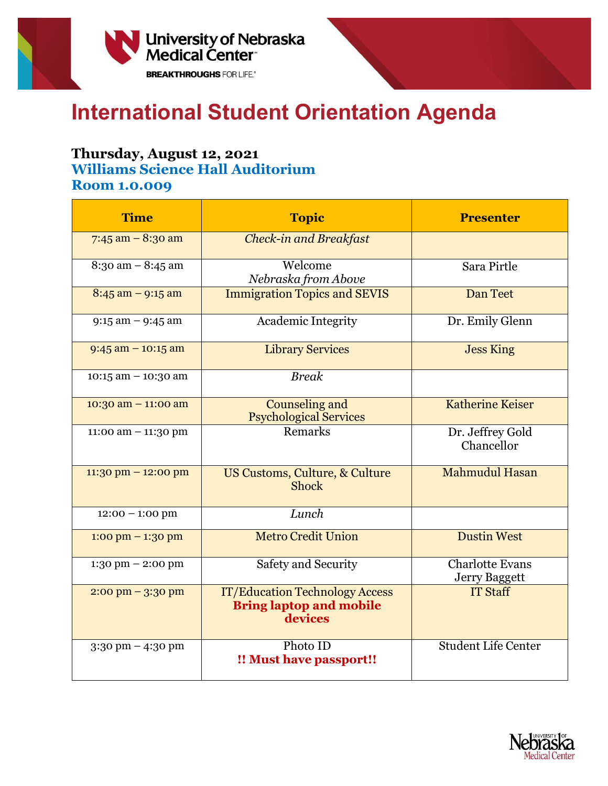

## **International Student Orientation Agenda**

## **Thursday, August 12, 2021**

**Williams Science Hall Auditorium**

**Room 1.0.009**

| <b>Time</b>                         | <b>Topic</b>                                                                       | <b>Presenter</b>                               |
|-------------------------------------|------------------------------------------------------------------------------------|------------------------------------------------|
| 7:45 am $-$ 8:30 am                 | <b>Check-in and Breakfast</b>                                                      |                                                |
| $\overline{8:3}$ o am - 8:45 am     | Welcome<br>Nebraska from Above                                                     | Sara Pirtle                                    |
| $8:45$ am $-9:15$ am                | <b>Immigration Topics and SEVIS</b>                                                | Dan Teet                                       |
| $9:15$ am $-9:45$ am                | <b>Academic Integrity</b>                                                          | Dr. Emily Glenn                                |
| $9:45$ am $-10:15$ am               | <b>Library Services</b>                                                            | <b>Jess King</b>                               |
| $10:15$ am $- 10:30$ am             | <b>Break</b>                                                                       |                                                |
| $10:30$ am $- 11:00$ am             | Counseling and<br><b>Psychological Services</b>                                    | Katherine Keiser                               |
| 11:00 am $-$ 11:30 pm               | Remarks                                                                            | Dr. Jeffrey Gold<br>Chancellor                 |
| $11:30$ pm $-12:00$ pm              | US Customs, Culture, & Culture<br><b>Shock</b>                                     | <b>Mahmudul Hasan</b>                          |
| $12:00 - 1:00$ pm                   | Lunch                                                                              |                                                |
| $1:00 \text{ pm} - 1:30 \text{ pm}$ | <b>Metro Credit Union</b>                                                          | <b>Dustin West</b>                             |
| $1:30 \text{ pm} - 2:00 \text{ pm}$ | <b>Safety and Security</b>                                                         | <b>Charlotte Evans</b><br><b>Jerry Baggett</b> |
| $2:00 \text{ pm} - 3:30 \text{ pm}$ | <b>IT/Education Technology Access</b><br><b>Bring laptop and mobile</b><br>devices | <b>IT Staff</b>                                |
| $3:30$ pm $-4:30$ pm                | Photo ID<br>!! Must have passport!!                                                | <b>Student Life Center</b>                     |